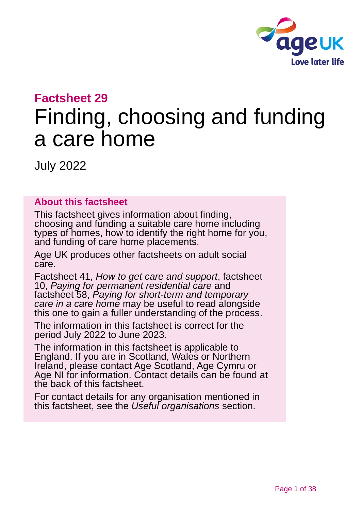

### **Factsheet 29**

# Finding, choosing and funding a care home

July 2022

#### **About this factsheet**

This factsheet gives information about finding, choosing and funding a suitable care home including types of homes, how to identify the right home for you, and funding of care home placements.

Age UK produces other factsheets on adult social care.

Factsheet 41, *[How to get care and support](https://www.ageuk.org.uk/globalassets/age-uk/documents/factsheets/fs41_how_to_get_care_and_support_fcs.pdf?dtrk=true)*, factsheet 10, *[Paying for permanent residential care](https://www.ageuk.org.uk/globalassets/age-uk/documents/factsheets/fs10_paying_for_permanent_residential_care_fcs.pdf?dtrk=true)* and factsheet 58, *[Paying for short-term and temporary](https://www.ageuk.org.uk/globalassets/age-uk/documents/factsheets/fs58_paying_for_short-term_and_temporary_care_in_a_care_home_fcs.pdf)  [care in a care home](https://www.ageuk.org.uk/globalassets/age-uk/documents/factsheets/fs58_paying_for_short-term_and_temporary_care_in_a_care_home_fcs.pdf)* may be useful to read alongside this one to gain a fuller understanding of the process.

The information in this factsheet is correct for the period July 2022 to June 2023.

The information in this factsheet is applicable to England. If you are in Scotland, Wales or Northern Ireland, please contact [Age Scotland,](#page-36-0) [Age Cymru or](#page-36-1)  [Age NI](#page-36-1) for information. Contact details can be found at the back of this factsheet.

For contact details for any organisation mentioned in this factsheet, see the *[Useful organisations](#page-33-0)* section.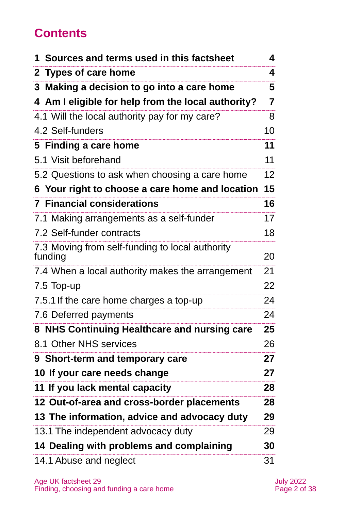# **Contents**

| 1 Sources and terms used in this factsheet                 | 4                 |
|------------------------------------------------------------|-------------------|
| 2 Types of care home                                       | 4                 |
| Making a decision to go into a care home<br>3              | 5                 |
| 4 Am I eligible for help from the local authority?         | 7                 |
| 4.1 Will the local authority pay for my care?              | 8                 |
| 4.2 Self-funders                                           | 10                |
| 5 Finding a care home                                      | 11                |
| 5.1 Visit beforehand                                       | 11                |
| 5.2 Questions to ask when choosing a care home             | $12 \overline{ }$ |
| 6 Your right to choose a care home and location            | 15                |
| <b>7 Financial considerations</b>                          | 16                |
| 7.1 Making arrangements as a self-funder                   | 17                |
| 7.2 Self-funder contracts                                  | 18                |
| 7.3 Moving from self-funding to local authority<br>funding | 20                |
| 7.4 When a local authority makes the arrangement           | 21                |
| 7.5 Top-up                                                 | 22                |
| 7.5.1 If the care home charges a top-up                    | 24                |
| 7.6 Deferred payments                                      | 24                |
| 8 NHS Continuing Healthcare and nursing care               | 25                |
| 8.1 Other NHS services                                     | 26                |
| 9 Short-term and temporary care                            | 27                |
| 10 If your care needs change                               | 27                |
| 11 If you lack mental capacity                             | 28                |
| 12 Out-of-area and cross-border placements                 | 28                |
| 13 The information, advice and advocacy duty               | 29                |
| 13.1 The independent advocacy duty                         | 29                |
| 14 Dealing with problems and complaining                   | 30                |
| 14.1 Abuse and neglect                                     | 31                |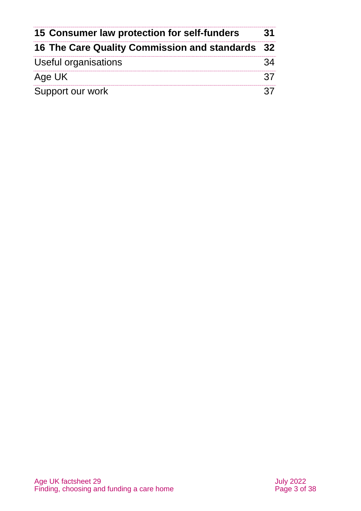| 15 Consumer law protection for self-funders<br>16 The Care Quality Commission and standards 32 |  |
|------------------------------------------------------------------------------------------------|--|
|                                                                                                |  |
| Age UK                                                                                         |  |
| Support our work                                                                               |  |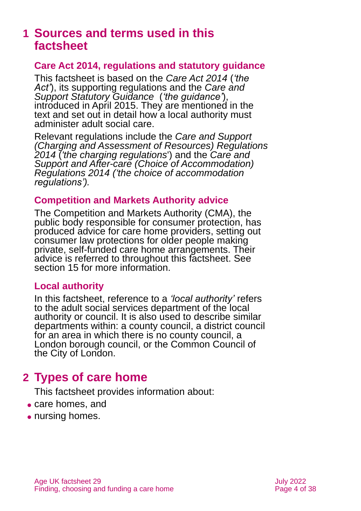### <span id="page-3-0"></span>**1 Sources and terms used in this factsheet**

#### **Care Act 2014, regulations and statutory guidance**

This factsheet is based on the *[Care Act 2014](http://www.legislation.gov.uk/ukpga/2014/23/contents)* (*'the Act'*), its supporting regulations and the *[Care](https://www.gov.uk/government/publications/care-act-statutory-guidance/care-and-support-statutory-guidance) and [Support Statutory Guidance](https://www.gov.uk/government/publications/care-act-statutory-guidance/care-and-support-statutory-guidance)* (*'the guidance'*), introduced in April 2015. They are mentioned in the text and set out in detail how a local authority must administer adult social care.

Relevant regulations include the *[Care and Support](http://www.legislation.gov.uk/uksi/2014/2672/contents/made)  [\(Charging and Assessment of Resources\) Regulations](http://www.legislation.gov.uk/uksi/2014/2672/contents/made)  [2014](http://www.legislation.gov.uk/uksi/2014/2672/contents/made)* (*'the charging regulations*') and the *[Care and](http://www.legislation.gov.uk/uksi/2014/2670/contents/made)  [Support and After-care \(Choice of Accommodation\)](http://www.legislation.gov.uk/uksi/2014/2670/contents/made)  [Regulations 2014](http://www.legislation.gov.uk/uksi/2014/2670/contents/made) ('the choice of accommodation regulations').*

#### **Competition and Markets Authority advice**

The Competition and Markets Authority (CMA), the public body responsible for consumer protection, has produced [advice for care home providers,](https://assets.publishing.service.gov.uk/media/61b09fbde90e070448c520f0/CMA_care_homes_consumer_law_advice_----.pdf) setting out consumer law protections for older people making private, self-funded care home arrangements. Their advice is referred to throughout this factsheet. See [section 15](#page-30-0) for more information.

#### **Local authority**

In this factsheet, reference to a *'local authority'* refers to the adult social services department of the local authority or council. It is also used to describe similar departments within: a county council, a district council for an area in which there is no county council, a London borough council, or the Common Council of the City of London.

### <span id="page-3-1"></span>**2 Types of care home**

This factsheet provides information about:

- care homes, and
- nursing homes.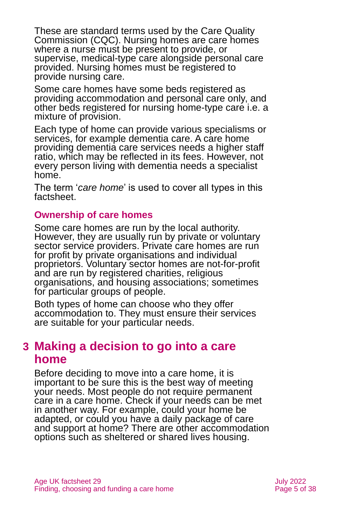These are standard terms used by the Care Quality Commission (CQC). Nursing homes are care homes where a nurse must be present to provide, or supervise, medical-type care alongside personal care provided. Nursing homes must be registered to provide nursing care.

Some care homes have some beds registered as providing accommodation and personal care only, and other beds registered for nursing home-type care i.e. a mixture of provision.

Each type of home can provide various specialisms or services, for example dementia care. A care home providing dementia care services needs a higher staff ratio, which may be reflected in its fees. However, not every person living with dementia needs a specialist home.

The term '*care home*' is used to cover all types in this factsheet.

#### **Ownership of care homes**

Some care homes are run by the local authority. However, they are usually run by private or voluntary sector service providers. Private care homes are run for profit by private organisations and individual proprietors. Voluntary sector homes are not-for-profit and are run by registered charities, religious organisations, and housing associations; sometimes for particular groups of people.

Both types of home can choose who they offer accommodation to. They must ensure their services are suitable for your particular needs.

### <span id="page-4-0"></span>**3 Making a decision to go into a care home**

Before deciding to move into a care home, it is important to be sure this is the best way of meeting your needs. Most people do not require permanent care in a care home. Check if your needs can be met in another way. For example, could your home be adapted, or could you have a daily package of care and support at home? There are other accommodation options such as sheltered or shared lives housing.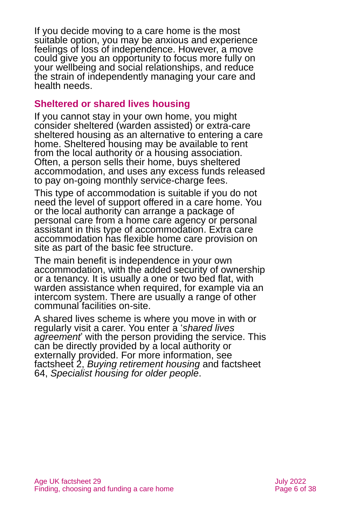If you decide moving to a care home is the most suitable option, you may be anxious and experience feelings of loss of independence. However, a move could give you an opportunity to focus more fully on your wellbeing and social relationships, and reduce the strain of independently managing your care and health needs.

### **Sheltered or shared lives housing**

If you cannot stay in your own home, you might consider sheltered (warden assisted) or extra-care sheltered housing as an alternative to entering a care home. Sheltered housing may be available to rent from the local authority or a housing association. Often, a person sells their home, buys sheltered accommodation, and uses any excess funds released to pay on-going monthly service-charge fees.

This type of accommodation is suitable if you do not need the level of support offered in a care home. You or the local authority can arrange a package of personal care from a home care agency or personal assistant in this type of accommodation. Extra care accommodation has flexible home care provision on site as part of the basic fee structure.

The main benefit is independence in your own accommodation, with the added security of ownership or a tenancy. It is usually a one or two bed flat, with warden assistance when required, for example via an intercom system. There are usually a range of other communal facilities on-site.

A shared lives scheme is where you move in with or regularly visit a carer. You enter a '*shared lives agreement*' with the person providing the service. This can be directly provided by a local authority or externally provided. For more information, see factsheet 2, *[Buying retirement housing](https://www.ageuk.org.uk/globalassets/age-uk/documents/factsheets/fs2_buying_retirement_housing_fcs.pdf?dtrk=true)* and factsheet 64, *[Specialist housing for older people](https://www.ageuk.org.uk/globalassets/age-uk/documents/factsheets/fs64_specialist_housing_for_older_people_fcs.pdf?dtrk=true)*.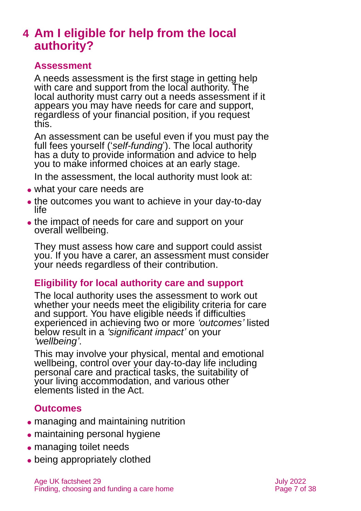### <span id="page-6-0"></span>**4 Am I eligible for help from the local authority?**

#### **Assessment**

A needs assessment is the first stage in getting help with care and support from the local authority. The local authority must carry out a needs assessment if it appears you may have needs for care and support, regardless of your financial position, if you request this.

An assessment can be useful even if you must pay the full fees yourself ('self-funding'). The local authority has a duty to provide information and advice to help you to make informed choices at an early stage.

In the assessment, the local authority must look at:

- what your care needs are
- the outcomes you want to achieve in your day-to-day life
- the impact of needs for care and support on your overall wellbeing.

They must assess how care and support could assist you. If you have a carer, an assessment must consider your needs regardless of their contribution.

### **Eligibility for local authority care and support**

The local authority uses the assessment to work out whether your needs meet the eligibility criteria for care and support. You have eligible needs if difficulties experienced in achieving two or more *'outcomes'* listed below result in a *'significant impact'* on your *'wellbeing'*.

This may involve your physical, mental and emotional wellbeing, control over your day-to-day life including personal care and practical tasks, the suitability of your living accommodation, and various other elements listed in the Act.

### **Outcomes**

- ⚫ managing and maintaining nutrition
- maintaining personal hygiene
- managing toilet needs
- being appropriately clothed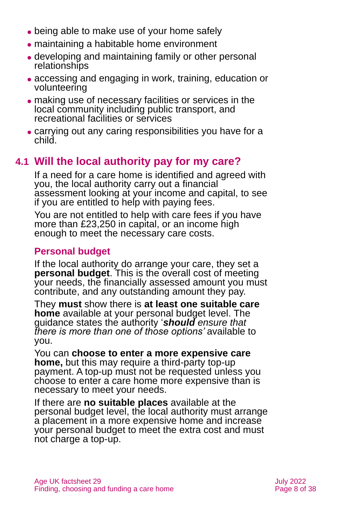- being able to make use of your home safely
- ⚫ maintaining a habitable home environment
- ⚫ developing and maintaining family or other personal relationships
- ⚫ accessing and engaging in work, training, education or volunteering
- ⚫ making use of necessary facilities or services in the local community including public transport, and recreational facilities or services
- ⚫ carrying out any caring responsibilities you have for a child.

### **4.1 Will the local authority pay for my care?**

If a need for a care home is identified and agreed with you, the local authority carry out a financial assessment looking at your income and capital, to see if you are entitled to help with paying fees.

You are not entitled to help with care fees if you have more than £23,250 in capital, or an income high enough to meet the necessary care costs.

### **Personal budget**

If the local authority do arrange your care, they set a **personal budget**. This is the overall cost of meeting your needs, the financially assessed amount you must contribute, and any outstanding amount they pay.

They **must** show there is **at least one suitable care home** available at your personal budget level. The guidance states the authority '*should ensure that there is more than one of those options'* available to you.

You can **choose to enter a more expensive care home,** but this may require a third-party top-up payment. A top-up must not be requested unless you choose to enter a care home more expensive than is necessary to meet your needs.

If there are **no suitable places** available at the personal budget level, the local authority must arrange a placement in a more expensive home and increase your personal budget to meet the extra cost and must not charge a top-up.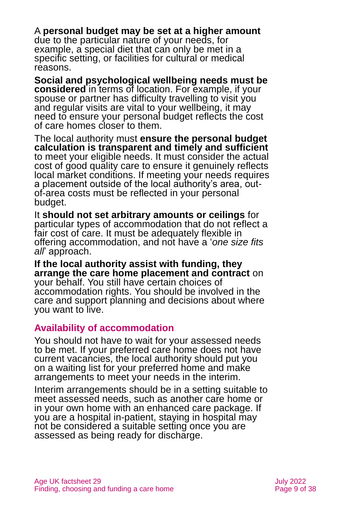A **personal budget may be set at a higher amount** due to the particular nature of your needs, for example, a special diet that can only be met in a specific setting, or facilities for cultural or medical reasons.

**Social and psychological wellbeing needs must be considered** in terms of location. For example, if your spouse or partner has difficulty travelling to visit you and regular visits are vital to your wellbeing, it may need to ensure your personal budget reflects the cost of care homes closer to them.

The local authority must **ensure the personal budget calculation is transparent and timely and sufficient** to meet your eligible needs. It must consider the actual cost of good quality care to ensure it genuinely reflects local market conditions. If meeting your needs requires a placement outside of the local authority's area, outof-area costs must be reflected in your personal budget.

It **should not set arbitrary amounts or ceilings** for particular types of accommodation that do not reflect a fair cost of care. It must be adequately flexible in offering accommodation, and not have a '*one size fits all*' approach.

**If the local authority assist with funding, they arrange the care home placement and contract** on your behalf. You still have certain choices of accommodation rights. You should be involved in the care and support planning and decisions about where you want to live.

### **Availability of accommodation**

You should not have to wait for your assessed needs to be met. If your preferred care home does not have current vacancies, the local authority should put you on a waiting list for your preferred home and make arrangements to meet your needs in the interim.

Interim arrangements should be in a setting suitable to meet assessed needs, such as another care home or in your own home with an enhanced care package. If you are a hospital in-patient, staying in hospital may not be considered a suitable setting once you are assessed as being ready for discharge.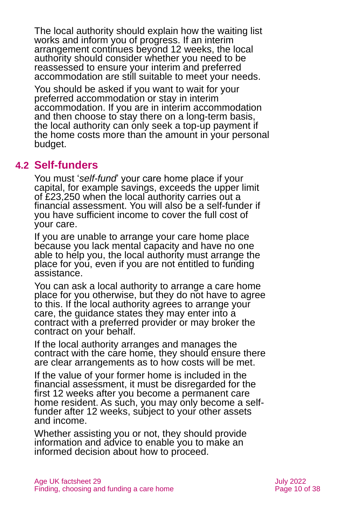The local authority should explain how the waiting list works and inform you of progress. If an interim arrangement continues beyond 12 weeks, the local authority should consider whether you need to be reassessed to ensure your interim and preferred accommodation are still suitable to meet your needs.

You should be asked if you want to wait for your preferred accommodation or stay in interim accommodation. If you are in interim accommodation and then choose to stay there on a long-term basis, the local authority can only seek a top-up payment if the home costs more than the amount in your personal budget.

### **4.2 Self-funders**

You must '*self-fund*' your care home place if your capital, for example savings, exceeds the upper limit of £23,250 when the local authority carries out a financial assessment. You will also be a self-funder if you have sufficient income to cover the full cost of your care.

If you are unable to arrange your care home place because you lack mental capacity and have no one able to help you, the local authority must arrange the place for you, even if you are not entitled to funding assistance.

You can ask a local authority to arrange a care home place for you otherwise, but they do not have to agree to this. If the local authority agrees to arrange your care, the guidance states they may enter into a contract with a preferred provider or may broker the contract on your behalf.

If the local authority arranges and manages the contract with the care home, they should ensure there are clear arrangements as to how costs will be met.

If the value of your former home is included in the financial assessment, it must be disregarded for the first 12 weeks after you become a permanent care home resident. As such, you may only become a selffunder after 12 weeks, subject to your other assets and income.

Whether assisting you or not, they should provide information and advice to enable you to make an informed decision about how to proceed.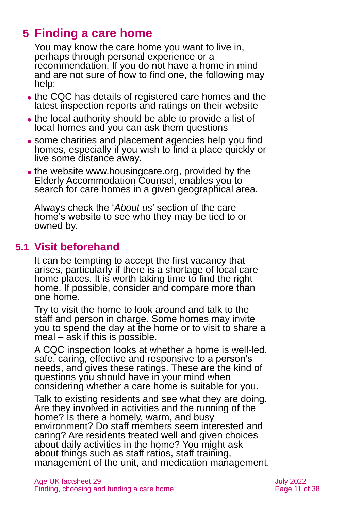# <span id="page-10-0"></span>**5 Finding a care home**

You may know the care home you want to live in, perhaps through personal experience or a recommendation. If you do not have a home in mind and are not sure of how to find one, the following may help:

- ⚫ the CQC has details of registered care homes and the latest inspection reports and ratings on their website
- ⚫ the local authority should be able to provide a list of local homes and you can ask them questions
- some charities and placement agencies help you find homes, especially if you wish to find a place quickly or live some distance away.
- ⚫ the website [www.housingcare.org,](http://www.housingcare.org/index.aspx) provided by the Elderly Accommodation Counsel, enables you to search for care homes in a given geographical area.

Always check the '*About us*' section of the care home's website to see who they may be tied to or owned by.

### **5.1 Visit beforehand**

It can be tempting to accept the first vacancy that arises, particularly if there is a shortage of local care home places. It is worth taking time to find the right home. If possible, consider and compare more than one home.

Try to visit the home to look around and talk to the staff and person in charge. Some homes may invite you to spend the day at the home or to visit to share a meal – ask if this is possible.

A CQC inspection looks at whether a home is well-led, safe, caring, effective and responsive to a person's needs, and gives these ratings. These are the kind of questions you should have in your mind when considering whether a care home is suitable for you.

Talk to existing residents and see what they are doing. Are they involved in activities and the running of the home? Is there a homely, warm, and busy environment? Do staff members seem interested and caring? Are residents treated well and given choices about daily activities in the home? You might ask about things such as staff ratios, staff training, management of the unit, and medication management.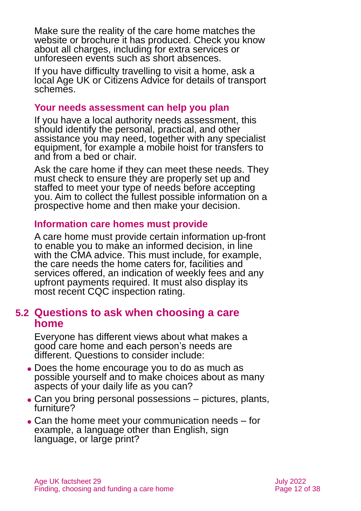Make sure the reality of the care home matches the website or brochure it has produced. Check you know about all charges, including for extra services or unforeseen events such as short absences.

If you have difficulty travelling to visit a home, ask a local [Age UK](http://www.ageuk.org.uk/) or [Citizens Advice](#page-33-1) for details of transport schemes.

#### **Your needs assessment can help you plan**

If you have a local authority needs assessment, this should identify the personal, practical, and other assistance you may need, together with any specialist equipment, for example a mobile hoist for transfers to and from a bed or chair.

Ask the care home if they can meet these needs. They must check to ensure they are properly set up and staffed to meet your type of needs before accepting you. Aim to collect the fullest possible information on a prospective home and then make your decision.

#### **Information care homes must provide**

A care home must provide certain information up-front to enable you to make an informed decision, in line with the CMA advice. This must include, for example, the care needs the home caters for, facilities and services offered, an indication of weekly fees and any upfront payments required. It must also display its most recent CQC inspection rating.

### **5.2 Questions to ask when choosing a care home**

Everyone has different views about what makes a good care home and each person's needs are different. Questions to consider include:

- ⚫ Does the home encourage you to do as much as possible yourself and to make choices about as many aspects of your daily life as you can?
- Can you bring personal possessions pictures, plants, furniture?
- Can the home meet your communication needs for example, a language other than English, sign language, or large print?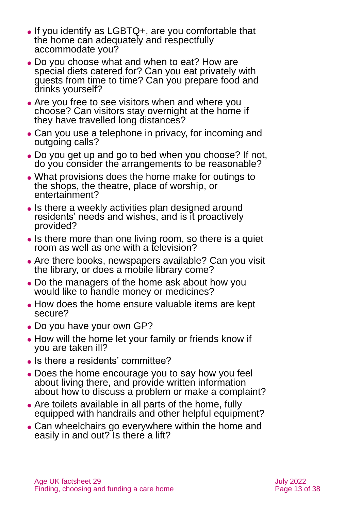- ⚫ If you identify as LGBTQ+, are you comfortable that the home can adequately and respectfully accommodate you?
- ⚫ Do you choose what and when to eat? How are special diets catered for? Can you eat privately with guests from time to time? Can you prepare food and drinks yourself?
- Are you free to see visitors when and where you choose? Can visitors stay overnight at the home if they have travelled long distances?
- Can you use a telephone in privacy, for incoming and outgoing calls?
- ⚫ Do you get up and go to bed when you choose? If not, do you consider the arrangements to be reasonable?
- ⚫ What provisions does the home make for outings to the shops, the theatre, place of worship, or entertainment?
- Is there a weekly activities plan designed around residents' needs and wishes, and is it proactively provided?
- ⚫ Is there more than one living room, so there is a quiet room as well as one with a television?
- ⚫ Are there books, newspapers available? Can you visit the library, or does a mobile library come?
- ⚫ Do the managers of the home ask about how you would like to handle money or medicines?
- ⚫ How does the home ensure valuable items are kept secure?
- ⚫ Do you have your own GP?
- How will the home let your family or friends know if you are taken ill?
- Is there a residents' committee?
- ⚫ Does the home encourage you to say how you feel about living there, and provide written information about how to discuss a problem or make a complaint?
- ⚫ Are toilets available in all parts of the home, fully equipped with handrails and other helpful equipment?
- ⚫ Can wheelchairs go everywhere within the home and easily in and out? Is there a lift?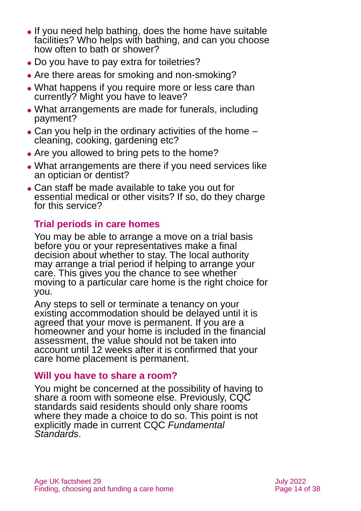- ⚫ If you need help bathing, does the home have suitable facilities? Who helps with bathing, and can you choose how often to bath or shower?
- Do you have to pay extra for toiletries?
- Are there areas for smoking and non-smoking?
- What happens if you require more or less care than currently? Might you have to leave?
- ⚫ What arrangements are made for funerals, including payment?
- Can you help in the ordinary activities of the home cleaning, cooking, gardening etc?
- Are you allowed to bring pets to the home?
- ⚫ What arrangements are there if you need services like an optician or dentist?
- ⚫ Can staff be made available to take you out for essential medical or other visits? If so, do they charge for this service?

### **Trial periods in care homes**

You may be able to arrange a move on a trial basis before you or your representatives make a final decision about whether to stay. The local authority may arrange a trial period if helping to arrange your care. This gives you the chance to see whether moving to a particular care home is the right choice for you.

Any steps to sell or terminate a tenancy on your existing accommodation should be delayed until it is agreed that your move is permanent. If you are a homeowner and your home is included in the financial assessment, the value should not be taken into account until 12 weeks after it is confirmed that your care home placement is permanent.

### **Will you have to share a room?**

You might be concerned at the possibility of having to share a room with someone else. Previously, CQC standards said residents should only share rooms where they made a choice to do so. This point is not explicitly made in current CQC *[Fundamental](http://www.cqc.org.uk/what-we-do/how-we-do-our-job/fundamental-standards)  [Standards](http://www.cqc.org.uk/what-we-do/how-we-do-our-job/fundamental-standards)*.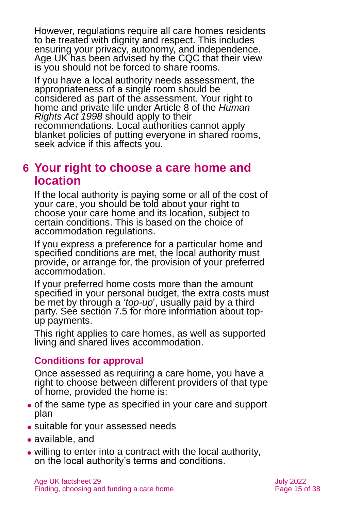However, regulations require all care homes residents to be treated with dignity and respect. This includes ensuring your privacy, autonomy, and independence. Age UK has been advised by the CQC that their view is you should not be forced to share rooms.

If you have a local authority needs assessment, the appropriateness of a single room should be considered as part of the assessment. Your right to home and private life under Article 8 of the *Human Rights Act 1998* should apply to their recommendations. Local authorities cannot apply blanket policies of putting everyone in shared rooms, seek advice if this affects you.

### <span id="page-14-0"></span>**6 Your right to choose a care home and location**

If the local authority is paying some or all of the cost of your care, you should be told about your right to choose your care home and its location, subject to certain conditions. This is based on the choice of accommodation regulations.

If you express a preference for a particular home and specified conditions are met, the local authority must provide, or arrange for, the provision of your preferred accommodation.

If your preferred home costs more than the amount specified in your personal budget, the extra costs must be met by through a '*top-up*', usually paid by a third party. See [section 7.5](#page-21-0) for more information about topup payments.

This right applies to care homes, as well as supported living and shared lives accommodation.

### **Conditions for approval**

Once assessed as requiring a care home, you have a right to choose between different providers of that type of home, provided the home is:

- ⚫ of the same type as specified in your care and support plan
- suitable for your assessed needs
- available, and
- ⚫ willing to enter into a contract with the local authority, on the local authority's terms and conditions.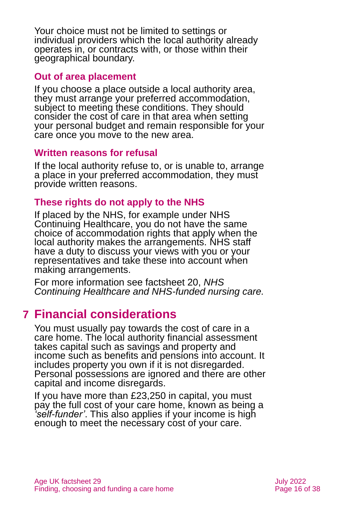Your choice must not be limited to settings or individual providers which the local authority already operates in, or contracts with, or those within their geographical boundary.

#### **Out of area placement**

If you choose a place outside a local authority area, they must arrange your preferred accommodation, subject to meeting these conditions. They should consider the cost of care in that area when setting your personal budget and remain responsible for your care once you move to the new area.

#### **Written reasons for refusal**

If the local authority refuse to, or is unable to, arrange a place in your preferred accommodation, they must provide written reasons.

### **These rights do not apply to the NHS**

If placed by the NHS, for example under NHS Continuing Healthcare, you do not have the same choice of accommodation rights that apply when the local authority makes the arrangements. NHS staff have a duty to discuss your views with you or your representatives and take these into account when making arrangements.

For more information see factsheet 20, *[NHS](https://www.ageuk.org.uk/globalassets/age-uk/documents/factsheets/fs20_nhs_continuing_healthcare_and_nhs-funded_nursing_care_fcs.pdf?dtrk=true)  [Continuing Healthcare and NHS-funded nursing care.](https://www.ageuk.org.uk/globalassets/age-uk/documents/factsheets/fs20_nhs_continuing_healthcare_and_nhs-funded_nursing_care_fcs.pdf?dtrk=true)*

### <span id="page-15-0"></span>**7 Financial considerations**

You must usually pay towards the cost of care in a care home. The local authority financial assessment takes capital such as savings and property and income such as benefits and pensions into account. It includes property you own if it is not disregarded. Personal possessions are ignored and there are other capital and income disregards.

If you have more than £23,250 in capital, you must pay the full cost of your care home, known as being a *'self-funder'*. This also applies if your income is high enough to meet the necessary cost of your care.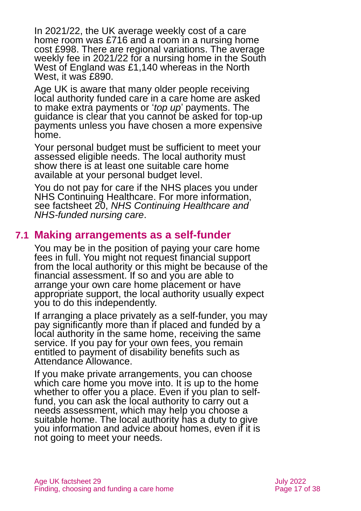In 2021/22, the UK average weekly cost of a care home room was £716 and a room in a nursing home cost £998. There are regional variations. The average weekly fee in 2021/22 for a nursing home in the South West of England was £1,140 whereas in the North West, it was £890.

Age UK is aware that many older people receiving local authority funded care in a care home are asked to make extra payments or '*top up*' payments. The guidance is clear that you cannot be asked for top-up payments unless you have chosen a more expensive home.

Your personal budget must be sufficient to meet your assessed eligible needs. The local authority must show there is at least one suitable care home available at your personal budget level.

You do not pay for care if the NHS places you under NHS Continuing Healthcare. For more information, see factsheet 20, *[NHS Continuing Healthcare and](https://www.ageuk.org.uk/globalassets/age-uk/documents/factsheets/fs20_nhs_continuing_healthcare_and_nhs-funded_nursing_care_fcs.pdf?dtrk=true)  [NHS-funded nursing care](https://www.ageuk.org.uk/globalassets/age-uk/documents/factsheets/fs20_nhs_continuing_healthcare_and_nhs-funded_nursing_care_fcs.pdf?dtrk=true)*.

### **7.1 Making arrangements as a self-funder**

You may be in the position of paying your care home fees in full. You might not request financial support from the local authority or this might be because of the financial assessment. If so and you are able to arrange your own care home placement or have appropriate support, the local authority usually expect you to do this independently.

If arranging a place privately as a self-funder, you may pay significantly more than if placed and funded by a local authority in the same home, receiving the same service. If you pay for your own fees, you remain entitled to payment of disability benefits such as Attendance Allowance.

If you make private arrangements, you can choose which care home you move into. It is up to the home whether to offer you a place. Even if you plan to selffund, you can ask the local authority to carry out a needs assessment, which may help you choose a suitable home. The local authority has a duty to give you information and advice about homes, even if it is not going to meet your needs.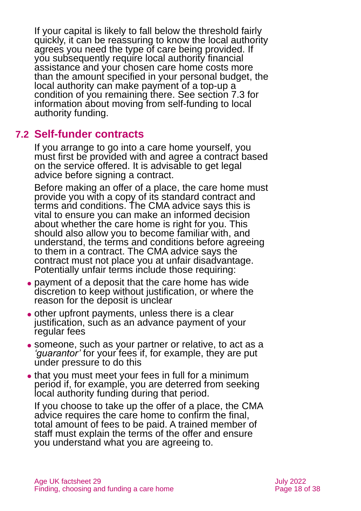If your capital is likely to fall below the threshold fairly quickly, it can be reassuring to know the local authority agrees you need the type of care being provided. If you subsequently require local authority financial assistance and your chosen care home costs more than the amount specified in your personal budget, the local authority can make payment of a top-up a condition of you remaining there. See [section 7.3](#page-19-0) for information about moving from self-funding to local authority funding.

### **7.2 Self-funder contracts**

If you arrange to go into a care home yourself, you must first be provided with and agree a contract based on the service offered. It is advisable to get legal advice before signing a contract.

Before making an offer of a place, the care home must provide you with a copy of its standard contract and terms and conditions. The CMA advice says this is vital to ensure you can make an informed decision about whether the care home is right for you. This should also allow you to become familiar with, and understand, the terms and conditions before agreeing to them in a contract. The CMA advice says the contract must not place you at unfair disadvantage. Potentially unfair terms include those requiring:

- ⚫ payment of a deposit that the care home has wide discretion to keep without justification, or where the reason for the deposit is unclear
- ⚫ other upfront payments, unless there is a clear justification, such as an advance payment of your regular fees
- ⚫ someone, such as your partner or relative, to act as a *'guarantor'* for your fees if, for example, they are put under pressure to do this
- that you must meet your fees in full for a minimum period if, for example, you are deterred from seeking local authority funding during that period.

If you choose to take up the offer of a place, the CMA advice requires the care home to confirm the final, total amount of fees to be paid. A trained member of staff must explain the terms of the offer and ensure you understand what you are agreeing to.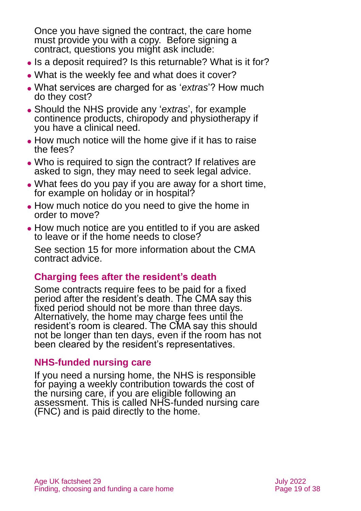Once you have signed the contract, the care home must provide you with a copy. Before signing a contract, questions you might ask include:

- Is a deposit required? Is this returnable? What is it for?
- ⚫ What is the weekly fee and what does it cover?
- ⚫ What services are charged for as '*extras*'? How much do they cost?
- ⚫ Should the NHS provide any '*extras*', for example continence products, chiropody and physiotherapy if you have a clinical need.
- How much notice will the home give if it has to raise the fees?
- Who is required to sign the contract? If relatives are asked to sign, they may need to seek legal advice.
- ⚫ What fees do you pay if you are away for a short time, for example on holiday or in hospital?
- How much notice do you need to give the home in order to move?
- ⚫ How much notice are you entitled to if you are asked to leave or if the home needs to close?

See [section](#page-30-0) 15 for more information about the CMA contract advice.

### **Charging fees after the resident's death**

Some contracts require fees to be paid for a fixed period after the resident's death. The CMA say this fixed period should not be more than three days. Alternatively, the home may charge fees until the resident's room is cleared. The CMA say this should not be longer than ten days, even if the room has not been cleared by the resident's representatives.

### **NHS-funded nursing care**

If you need a nursing home, the NHS is responsible for paying a weekly contribution towards the cost of the nursing care, if you are eligible following an assessment. This is called NHS-funded nursing care (FNC) and is paid directly to the home.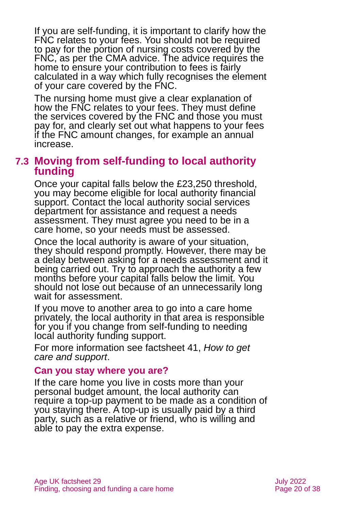If you are self-funding, it is important to clarify how the FNC relates to your fees. You should not be required to pay for the portion of nursing costs covered by the FNC, as per the CMA advice. The advice requires the home to ensure your contribution to fees is fairly calculated in a way which fully recognises the element of your care covered by the FNC.

The nursing home must give a clear explanation of how the FNC relates to your fees. They must define the services covered by the FNC and those you must pay for, and clearly set out what happens to your fees if the FNC amount changes, for example an annual increase.

### <span id="page-19-0"></span>**7.3 Moving from self-funding to local authority funding**

Once your capital falls below the £23,250 threshold, you may become eligible for local authority financial support. Contact the local authority social services department for assistance and request a needs assessment. They must agree you need to be in a care home, so your needs must be assessed.

Once the local authority is aware of your situation, they should respond promptly. However, there may be a delay between asking for a needs assessment and it being carried out. Try to approach the authority a few months before your capital falls below the limit. You should not lose out because of an unnecessarily long wait for assessment.

If you move to another area to go into a care home privately, the local authority in that area is responsible for you if you change from self-funding to needing local authority funding support.

For more information see factsheet 41, *[How to get](https://www.ageuk.org.uk/globalassets/age-uk/documents/factsheets/fs41_how_to_get_care_and_support_fcs.pdf?dtrk=true)  [care and support](https://www.ageuk.org.uk/globalassets/age-uk/documents/factsheets/fs41_how_to_get_care_and_support_fcs.pdf?dtrk=true)*.

#### **Can you stay where you are?**

If the care home you live in costs more than your personal budget amount, the local authority can require a top-up payment to be made as a condition of you staying there. A top-up is usually paid by a third party, such as a relative or friend, who is willing and able to pay the extra expense.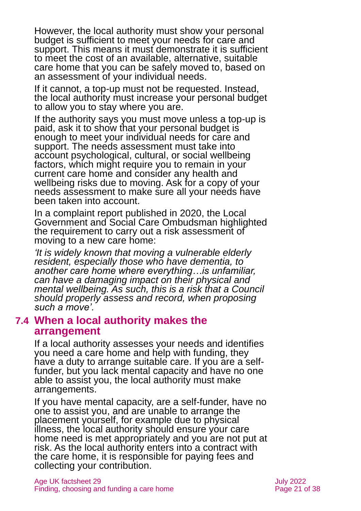However, the local authority must show your personal budget is sufficient to meet your needs for care and support. This means it must demonstrate it is sufficient to meet the cost of an available, alternative, suitable care home that you can be safely moved to, based on an assessment of your individual needs.

If it cannot, a top-up must not be requested. Instead, the local authority must increase your personal budget to allow you to stay where you are.

If the authority says you must move unless a top-up is paid, ask it to show that your personal budget is enough to meet your individual needs for care and support. The needs assessment must take into account psychological, cultural, or social wellbeing factors, which might require you to remain in your current care home and consider any health and wellbeing risks due to moving. Ask for a copy of your needs assessment to make sure all your needs have been taken into account.

In a complaint report published in 2020, the Local Government and Social Care Ombudsman highlighted the requirement to carry out a risk assessment of moving to a new care home:

*'It is widely known that moving a vulnerable elderly resident, especially those who have dementia, to another care home where everything…is unfamiliar, can have a damaging impact on their physical and mental wellbeing. As such, this is a risk that a Council should properly assess and record, when proposing such a move'.*

#### **7.4 When a local authority makes the arrangement**

If a local authority assesses your needs and identifies you need a care home and help with funding, they have a duty to arrange suitable care. If you are a selffunder, but you lack mental capacity and have no one able to assist you, the local authority must make arrangements.

If you have mental capacity, are a self-funder, have no one to assist you, and are unable to arrange the placement yourself, for example due to physical illness, the local authority should ensure your care home need is met appropriately and you are not put at risk. As the local authority enters into a contract with the care home, it is responsible for paying fees and collecting your contribution.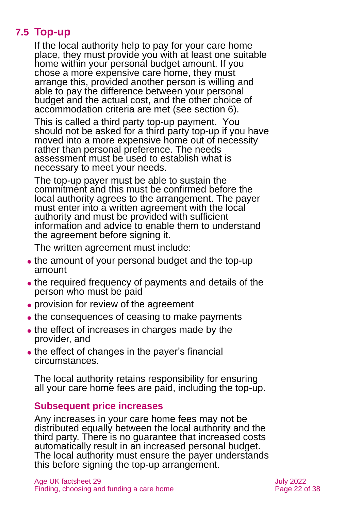### **7.5 Top-up**

<span id="page-21-0"></span>If the local authority help to pay for your care home place, they must provide you with at least one suitable home within your personal budget amount. If you chose a more expensive care home, they must arrange this, provided another person is willing and able to pay the difference between your personal budget and the actual cost, and the other choice of accommodation criteria are met (see [section 6\)](#page-14-0).

This is called a third party top-up payment. You should not be asked for a third party top-up if you have moved into a more expensive home out of necessity rather than personal preference. The needs assessment must be used to establish what is necessary to meet your needs.

The top-up payer must be able to sustain the commitment and this must be confirmed before the local authority agrees to the arrangement. The payer must enter into a written agreement with the local authority and must be provided with sufficient information and advice to enable them to understand the agreement before signing it.

The written agreement must include:

- the amount of your personal budget and the top-up amount
- ⚫ the required frequency of payments and details of the person who must be paid
- ⚫ provision for review of the agreement
- the consequences of ceasing to make payments
- ⚫ the effect of increases in charges made by the provider, and
- the effect of changes in the payer's financial circumstances.

The local authority retains responsibility for ensuring all your care home fees are paid, including the top-up.

### **Subsequent price increases**

Any increases in your care home fees may not be distributed equally between the local authority and the third party. There is no guarantee that increased costs automatically result in an increased personal budget. The local authority must ensure the payer understands this before signing the top-up arrangement.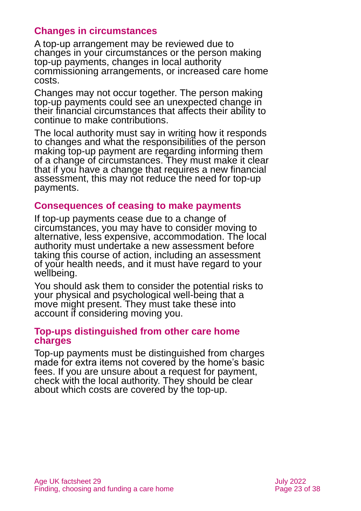### **Changes in circumstances**

A top-up arrangement may be reviewed due to changes in your circumstances or the person making top-up payments, changes in local authority commissioning arrangements, or increased care home costs.

Changes may not occur together. The person making top-up payments could see an unexpected change in their financial circumstances that affects their ability to continue to make contributions.

The local authority must say in writing how it responds to changes and what the responsibilities of the person making top-up payment are regarding informing them of a change of circumstances. They must make it clear that if you have a change that requires a new financial assessment, this may not reduce the need for top-up payments.

#### **Consequences of ceasing to make payments**

If top-up payments cease due to a change of circumstances, you may have to consider moving to alternative, less expensive, accommodation. The local authority must undertake a new assessment before taking this course of action, including an assessment of your health needs, and it must have regard to your wellbeing.

You should ask them to consider the potential risks to your physical and psychological well-being that a move might present. They must take these into account if considering moving you.

#### **Top-ups distinguished from other care home charges**

Top-up payments must be distinguished from charges made for extra items not covered by the home's basic fees. If you are unsure about a request for payment, check with the local authority. They should be clear about which costs are covered by the top-up.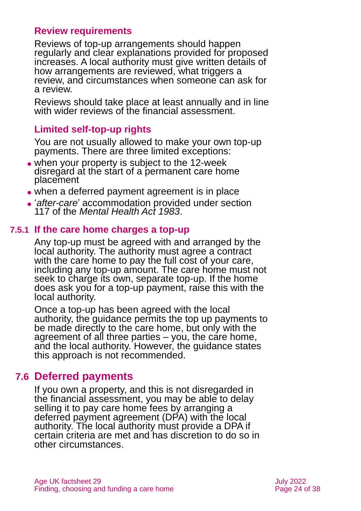### **Review requirements**

Reviews of top-up arrangements should happen regularly and clear explanations provided for proposed increases. A local authority must give written details of how arrangements are reviewed. what triggers a review, and circumstances when someone can ask for a review.

Reviews should take place at least annually and in line with wider reviews of the financial assessment.

### **Limited self-top-up rights**

You are not usually allowed to make your own top-up payments. There are three limited exceptions:

- ⚫ when your property is subject to the 12-week disregard at the start of a permanent care home placement
- ⚫ when a deferred payment agreement is in place
- ⚫ '*after-care*' accommodation provided under section 117 of the *Mental Health Act 1983*.

### **7.5.1 If the care home charges a top-up**

Any top-up must be agreed with and arranged by the local authority. The authority must agree a contract with the care home to pay the full cost of your care, including any top-up amount. The care home must not seek to charge its own, separate top-up. If the home does ask you for a top-up payment, raise this with the local authority.

Once a top-up has been agreed with the local authority, the guidance permits the top up payments to be made directly to the care home, but only with the agreement of all three parties – you, the care home, and the local authority. However, the guidance states this approach is not recommended.

### **7.6 Deferred payments**

If you own a property, and this is not disregarded in the financial assessment, you may be able to delay selling it to pay care home fees by arranging a deferred payment agreement (DPA) with the local authority. The local authority must provide a DPA if certain criteria are met and has discretion to do so in other circumstances.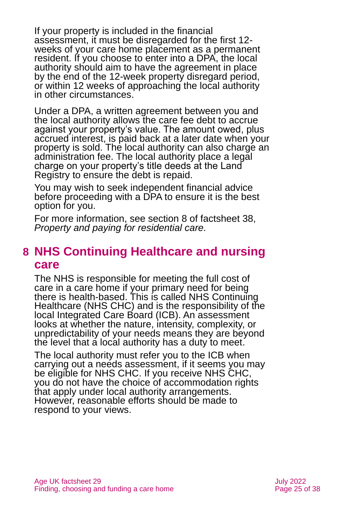If your property is included in the financial assessment, it must be disregarded for the first 12 weeks of your care home placement as a permanent resident. If you choose to enter into a DPA, the local authority should aim to have the agreement in place by the end of the 12-week property disregard period, or within 12 weeks of approaching the local authority in other circumstances.

Under a DPA, a written agreement between you and the local authority allows the care fee debt to accrue against your property's value. The amount owed, plus accrued interest, is paid back at a later date when your property is sold. The local authority can also charge an administration fee. The local authority place a legal charge on your property's title deeds at the Land Registry to ensure the debt is repaid.

You may wish to seek independent financial advice before proceeding with a DPA to ensure it is the best option for you.

For more information, see section 8 of factsheet 38, *[Property and paying for residential care.](https://www.ageuk.org.uk/globalassets/age-uk/documents/factsheets/fs38_property_and_paying_for_residential_care_fcs.pdf?dtrk=true)* 

### <span id="page-24-0"></span>**8 NHS Continuing Healthcare and nursing care**

The NHS is responsible for meeting the full cost of care in a care home if your primary need for being there is health-based. This is called NHS Continuing Healthcare (NHS CHC) and is the responsibility of the local Integrated Care Board (ICB). An assessment looks at whether the nature, intensity, complexity, or unpredictability of your needs means they are beyond the level that a local authority has a duty to meet.

The local authority must refer you to the ICB when carrying out a needs assessment, if it seems you may be eligible for NHS CHC. If you receive NHS CHC, you do not have the choice of accommodation rights that apply under local authority arrangements. However, reasonable efforts should be made to respond to your views.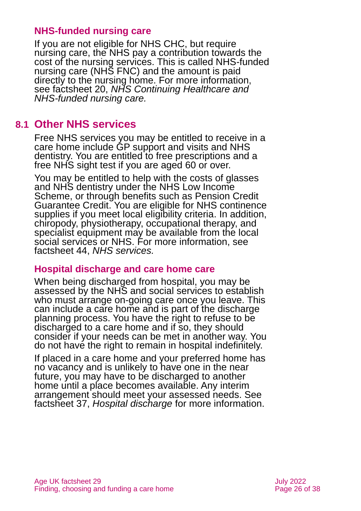#### **NHS-funded nursing care**

If you are not eligible for NHS CHC, but require nursing care, the NHS pay a contribution towards the cost of the nursing services. This is called NHS-funded nursing care (NHS FNC) and the amount is paid directly to the nursing home. For more information, see factsheet 20, *[NHS Continuing Healthcare and](https://www.ageuk.org.uk/globalassets/age-uk/documents/factsheets/fs20_nhs_continuing_healthcare_and_nhs-funded_nursing_care_fcs.pdf?dtrk=true)  [NHS-funded nursing care.](https://www.ageuk.org.uk/globalassets/age-uk/documents/factsheets/fs20_nhs_continuing_healthcare_and_nhs-funded_nursing_care_fcs.pdf?dtrk=true)*

### **8.1 Other NHS services**

Free NHS services you may be entitled to receive in a care home include GP support and visits and NHS dentistry. You are entitled to free prescriptions and a free NHS sight test if you are aged 60 or over.

You may be entitled to help with the costs of glasses and NHS dentistry under the NHS Low Income Scheme, or through benefits such as Pension Credit Guarantee Credit. You are eligible for NHS continence supplies if you meet local eligibility criteria. In addition, chiropody, physiotherapy, occupational therapy, and specialist equipment may be available from the local social services or NHS. For more information, see factsheet 44, *[NHS services.](https://www.ageuk.org.uk/globalassets/age-uk/documents/factsheets/fs44_nhs_services_fcs.pdf?dtrk=true)* 

### **Hospital discharge and care home care**

When being discharged from hospital, you may be assessed by the NHS and social services to establish who must arrange on-going care once you leave. This can include a care home and is part of the discharge planning process. You have the right to refuse to be discharged to a care home and if so, they should consider if your needs can be met in another way. You do not have the right to remain in hospital indefinitely.

If placed in a care home and your preferred home has no vacancy and is unlikely to have one in the near future, you may have to be discharged to another home until a place becomes available. Any interim arrangement should meet your assessed needs. See factsheet 37, *[Hospital discharge](https://www.ageuk.org.uk/globalassets/age-uk/documents/factsheets/fs37_hospital_discharge_fcs.pdf?dtrk=true)* for more information.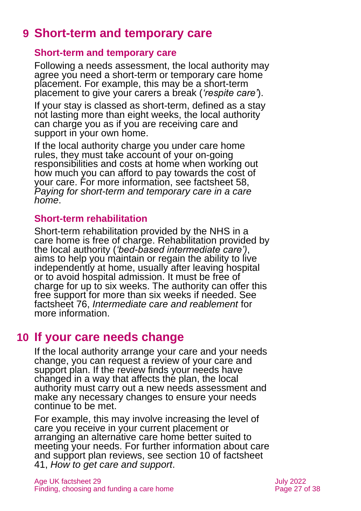## **9 Short-term and temporary care**

#### **Short-term and temporary care**

Following a needs assessment, the local authority may agree you need a short-term or temporary care home placement. For example, this may be a short-term placement to give your carers a break (*'respite care'*).

If your stay is classed as short-term, defined as a stay not lasting more than eight weeks, the local authority can charge you as if you are receiving care and support in your own home.

If the local authority charge you under care home rules, they must take account of your on-going responsibilities and costs at home when working out how much you can afford to pay towards the cost of your care. For more information, see factsheet 58, *[Paying for short-term and temporary care in a care](https://www.ageuk.org.uk/globalassets/age-uk/documents/factsheets/fs58_paying_for_short-term_and_temporary_care_in_a_care_home_fcs.pdf)  [home](https://www.ageuk.org.uk/globalassets/age-uk/documents/factsheets/fs58_paying_for_short-term_and_temporary_care_in_a_care_home_fcs.pdf)*.

#### **Short-term rehabilitation**

Short-term rehabilitation provided by the NHS in a care home is free of charge. Rehabilitation provided by the local authority (*'bed-based intermediate care')*, aims to help you maintain or regain the ability to live independently at home, usually after leaving hospital or to avoid hospital admission. It must be free of charge for up to six weeks. The authority can offer this free support for more than six weeks if needed. See factsheet 76, *[Intermediate care and reablement](https://www.ageuk.org.uk/globalassets/age-uk/documents/factsheets/fs76_intermediate_care_and_reablement_fcs.pdf)* for more information.

### <span id="page-26-0"></span>**10 If your care needs change**

If the local authority arrange your care and your needs change, you can request a review of your care and support plan. If the review finds your needs have changed in a way that affects the plan, the local authority must carry out a new needs assessment and make any necessary changes to ensure your needs continue to be met.

For example, this may involve increasing the level of care you receive in your current placement or arranging an alternative care home better suited to meeting your needs. For further information about care and support plan reviews, see section 10 of factsheet 41, *[How to get care and support](https://www.ageuk.org.uk/globalassets/age-uk/documents/factsheets/fs41_how_to_get_care_and_support_fcs.pdf)*.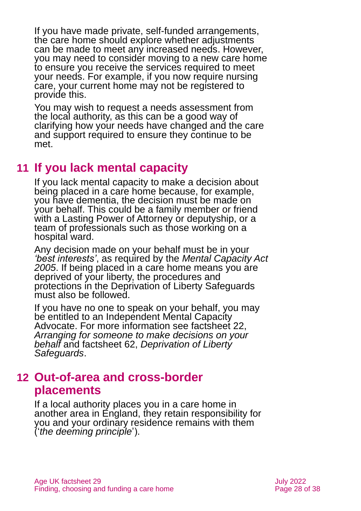If you have made private, self-funded arrangements, the care home should explore whether adjustments can be made to meet any increased needs. However, you may need to consider moving to a new care home to ensure you receive the services required to meet your needs. For example, if you now require nursing care, your current home may not be registered to provide this.

You may wish to request a needs assessment from the local authority, as this can be a good way of clarifying how your needs have changed and the care and support required to ensure they continue to be met.

### <span id="page-27-0"></span>**11 If you lack mental capacity**

If you lack mental capacity to make a decision about being placed in a care home because, for example, you have dementia, the decision must be made on your behalf. This could be a family member or friend with a Lasting Power of Attorney or deputyship, or a team of professionals such as those working on a hospital ward.

Any decision made on your behalf must be in your *'best interests'*, as required by the *Mental Capacity Act 2005*. If being placed in a care home means you are deprived of your liberty, the procedures and protections in the Deprivation of Liberty Safeguards must also be followed.

If you have no one to speak on your behalf, you may be entitled to an Independent Mental Capacity Advocate. For more information see factsheet 22, *[Arranging for someone to make decisions on your](https://www.ageuk.org.uk/globalassets/age-uk/documents/factsheets/fs22_arranging_for_someone_to_make_decisions_on_your_behalf_fcs.pdf?dtrk=true)  [behalf](https://www.ageuk.org.uk/globalassets/age-uk/documents/factsheets/fs22_arranging_for_someone_to_make_decisions_on_your_behalf_fcs.pdf?dtrk=true)* and factsheet 62, *[Deprivation of Liberty](https://www.ageuk.org.uk/globalassets/age-uk/documents/factsheets/fs62_deprivation_of_liberty_safeguards_fcs.pdf?dtrk=true)  [Safeguards](https://www.ageuk.org.uk/globalassets/age-uk/documents/factsheets/fs62_deprivation_of_liberty_safeguards_fcs.pdf?dtrk=true)*.

### <span id="page-27-1"></span>**12 Out-of-area and cross-border placements**

If a local authority places you in a care home in another area in England, they retain responsibility for you and your ordinary residence remains with them ('*the deeming principle*').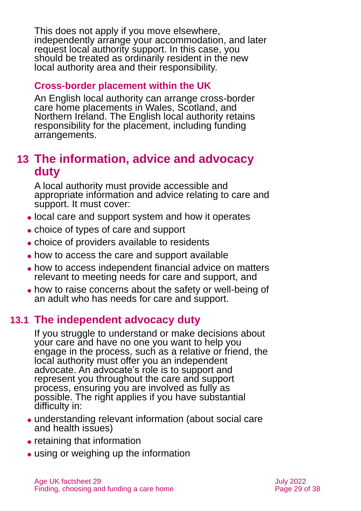This does not apply if you move elsewhere, independently arrange your accommodation, and later request local authority support. In this case, you should be treated as ordinarily resident in the new local authority area and their responsibility.

#### **Cross-border placement within the UK**

An English local authority can arrange cross-border care home placements in Wales, Scotland, and Northern Ireland. The English local authority retains responsibility for the placement, including funding arrangements.

### <span id="page-28-0"></span>**13 The information, advice and advocacy duty**

A local authority must provide accessible and appropriate information and advice relating to care and support. It must cover:

- ⚫ local care and support system and how it operates
- ⚫ choice of types of care and support
- choice of providers available to residents
- ⚫ how to access the care and support available
- how to access independent financial advice on matters relevant to meeting needs for care and support, and
- ⚫ how to raise concerns about the safety or well-being of an adult who has needs for care and support.

### **13.1 The independent advocacy duty**

If you struggle to understand or make decisions about your care and have no one you want to help you engage in the process, such as a relative or friend, the local authority must offer you an independent advocate. An advocate's role is to support and represent you throughout the care and support process, ensuring you are involved as fully as possible. The right applies if you have substantial difficulty in:

- ⚫ understanding relevant information (about social care and health issues)
- retaining that information
- using or weighing up the information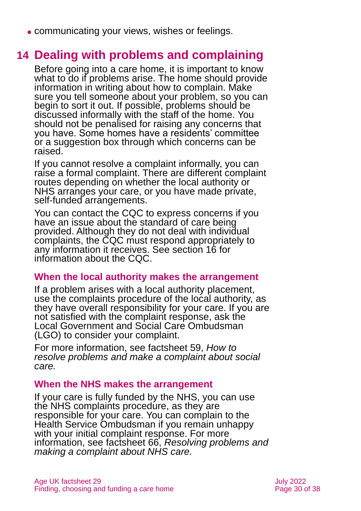<span id="page-29-0"></span>⚫ communicating your views, wishes or feelings.

### **14 Dealing with problems and complaining**

Before going into a care home, it is important to know what to do if problems arise. The home should provide information in writing about how to complain. Make sure you tell someone about your problem, so you can begin to sort it out. If possible, problems should be discussed informally with the staff of the home. You should not be penalised for raising any concerns that you have. Some homes have a residents' committee or a suggestion box through which concerns can be raised.

If you cannot resolve a complaint informally, you can raise a formal complaint. There are different complaint routes depending on whether the local authority or NHS arranges your care, or you have made private, self-funded arrangements.

You can contact the CQC to express concerns if you have an issue about the standard of care being provided. Although they do not deal with individual complaints, the CQC must respond appropriately to any information it receives. See [section 16](#page-31-0) for information about the CQC.

#### **When the local authority makes the arrangement**

If a problem arises with a local authority placement, use the complaints procedure of the local authority, as they have overall responsibility for your care. If you are not satisfied with the complaint response, ask the Local Government and Social Care Ombudsman (LGO) to consider your complaint.

For more information, see factsheet 59, *[How to](https://www.ageuk.org.uk/globalassets/age-uk/documents/factsheets/fs59_how_to_resolve_problems_and_complain_about_social_care_fcs.pdf)  [resolve problems and make a complaint about social](https://www.ageuk.org.uk/globalassets/age-uk/documents/factsheets/fs59_how_to_resolve_problems_and_complain_about_social_care_fcs.pdf)  [care.](https://www.ageuk.org.uk/globalassets/age-uk/documents/factsheets/fs59_how_to_resolve_problems_and_complain_about_social_care_fcs.pdf)* 

#### **When the NHS makes the arrangement**

If your care is fully funded by the NHS, you can use the NHS complaints procedure, as they are responsible for your care. You can complain to the Health Service Ombudsman if you remain unhappy with your initial complaint response. For more information, see factsheet 66, *[Resolving problems and](https://www.ageuk.org.uk/globalassets/age-uk/documents/factsheets/fs66_resolving_problems_and_making_a_complaint_about_nhs_care_fcs.pdf)  [making a complaint about NHS care.](https://www.ageuk.org.uk/globalassets/age-uk/documents/factsheets/fs66_resolving_problems_and_making_a_complaint_about_nhs_care_fcs.pdf)*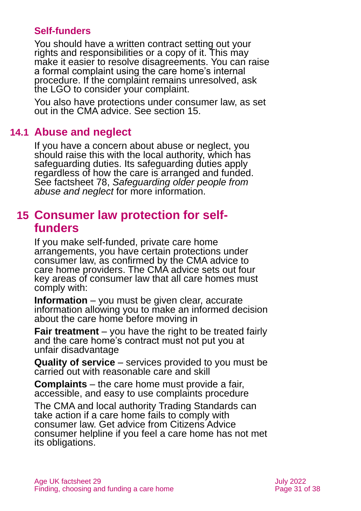#### **Self-funders**

You should have a written contract setting out your rights and responsibilities or a copy of it. This may make it easier to resolve disagreements. You can raise a formal complaint using the care home's internal procedure. If the complaint remains unresolved, ask the LGO to consider your complaint.

You also have protections under consumer law, as set out in the CMA advice. See [section](#page-30-0) 15.

### **14.1 Abuse and neglect**

If you have a concern about abuse or neglect, you should raise this with the local authority, which has safeguarding duties. Its safeguarding duties apply regardless of how the care is arranged and funded. See factsheet 78, *[Safeguarding older people from](https://www.ageuk.org.uk/globalassets/age-uk/documents/factsheets/fs78_safeguarding_older_people_from_abuse_fcs.pdf)  [abuse and neglect](https://www.ageuk.org.uk/globalassets/age-uk/documents/factsheets/fs78_safeguarding_older_people_from_abuse_fcs.pdf)* for more information.

### <span id="page-30-0"></span>**15 Consumer law protection for selffunders**

If you make self-funded, private care home arrangements, you have certain protections under consumer law, as confirmed by the CMA advice to care home providers. The CMA advice sets out four key areas of consumer law that all care homes must comply with:

**Information** – you must be given clear, accurate information allowing you to make an informed decision about the care home before moving in

**Fair treatment** – you have the right to be treated fairly and the care home's contract must not put you at unfair disadvantage

**Quality of service** – services provided to you must be carried out with reasonable care and skill

**Complaints** – the care home must provide a fair, accessible, and easy to use complaints procedure

The CMA and local authority Trading Standards can take action if a care home fails to comply with consumer law. Get advice from Citizens Advice consumer helpline if you feel a care home has not met its obligations.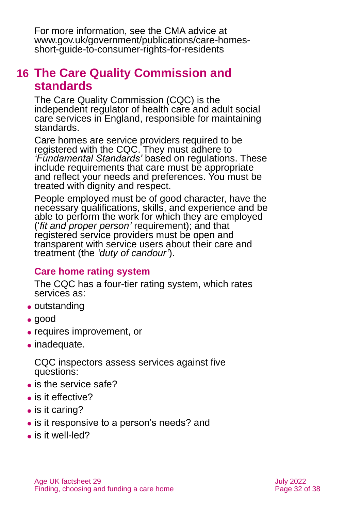For more information, see the CMA advice at [www.gov.uk/government/publications/care-homes](http://www.gov.uk/government/publications/care-homes-short-guide-to-consumer-rights-for-residents)[short-guide-to-consumer-rights-for-residents](http://www.gov.uk/government/publications/care-homes-short-guide-to-consumer-rights-for-residents)

### <span id="page-31-0"></span>**16 The Care Quality Commission and standards**

The Care Quality Commission (CQC) is the independent regulator of health care and adult social care services in England, responsible for maintaining standards.

Care homes are service providers required to be registered with the CQC. They must adhere to *'Fundamental Standards'* based on regulations. These include requirements that care must be appropriate and reflect your needs and preferences. You must be treated with dignity and respect.

People employed must be of good character, have the necessary qualifications, skills, and experience and be able to perform the work for which they are employed ('*fit and proper person'* requirement); and that registered service providers must be open and transparent with service users about their care and treatment (the *'duty of candour'*).

### **Care home rating system**

The CQC has a four-tier rating system, which rates services as:

- outstanding
- ⚫ good
- ⚫ requires improvement, or
- ⚫ inadequate.

CQC inspectors assess services against five questions:

- is the service safe?
- is it effective?
- is it caring?
- ⚫ is it responsive to a person's needs? and
- is it well-led?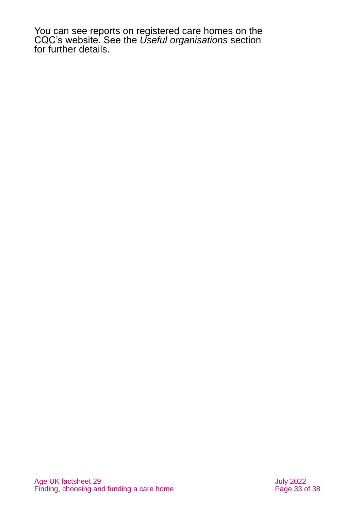You can see reports on registered care homes on the CQC's website. See the *Useful [organisations](#page-33-0)* section for further details.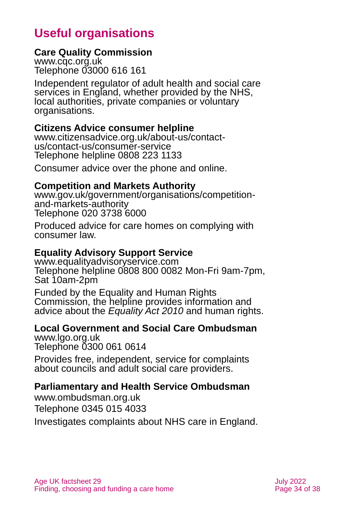# **Useful organisations**

#### <span id="page-33-0"></span>**Care Quality Commission**

[www.cqc.org.uk](http://www.cqc.org.uk/) Telephone 03000 616 161

Independent regulator of adult health and social care services in England, whether provided by the NHS, local authorities, private companies or voluntary organisations.

#### <span id="page-33-1"></span>**Citizens Advice consumer helpline**

[www.citizensadvice.org.uk/about-us/contact](http://www.citizensadvice.org.uk/about-us/contact-us/contact-us/consumer-service)[us/contact-us/consumer-service](http://www.citizensadvice.org.uk/about-us/contact-us/contact-us/consumer-service) Telephone helpline 0808 223 1133

Consumer advice over the phone and online.

#### **Competition and Markets Authority**

[www.gov.uk/government/organisations/competition](http://www.gov.uk/government/organisations/competition-and-markets-authority)[and-markets-authority](http://www.gov.uk/government/organisations/competition-and-markets-authority) Telephone 020 3738 6000

Produced advice for care homes on complying with consumer law.

### **Equality Advisory Support Service**

[www.equalityadvisoryservice.com](http://www.equalityadvisoryservice.com/)  Telephone helpline 0808 800 0082 Mon-Fri 9am-7pm, Sat 10am-2pm

Funded by the Equality and Human Rights Commission, the helpline provides information and advice about the *Equality Act 2010* and human rights.

### **Local Government and Social Care Ombudsman**

[www.lgo.org.uk](http://www.lgo.org.uk/) Telephone 0300 061 0614

Provides free, independent, service for complaints about councils and adult social care providers.

### **Parliamentary and Health Service Ombudsman**

[www.ombudsman.org.uk](http://www.ombudsman.org.uk/) Telephone 0345 015 4033

Investigates complaints about NHS care in England.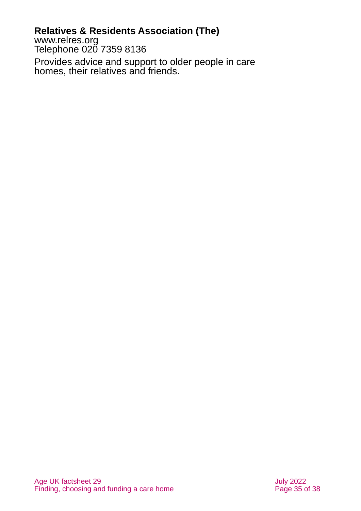### **Relatives & Residents Association (The)**

[www.relres.org](http://www.relres.org/) Telephone 020 7359 8136

Provides advice and support to older people in care homes, their relatives and friends.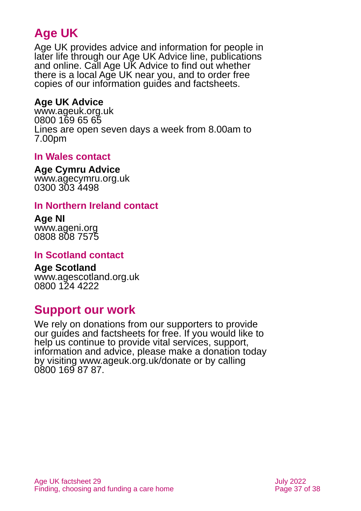# **Age UK**

Age UK provides advice and information for people in later life through our Age UK Advice line, publications and online. Call Age UK Advice to find out whether there is a local Age UK near you, and to order free copies of our information guides and factsheets.

### **Age UK Advice**

[www.ageuk.org.uk](http://www.ageuk.org.uk/) 0800 169 65 65 Lines are open seven days a week from 8.00am to 7.00pm

#### <span id="page-36-1"></span>**In Wales contact**

#### **Age Cymru Advice**

[www.agecymru.org.uk](http://www.agecymru.org.uk/) 0300 303 4498

#### **In Northern Ireland contact**

#### **Age NI** [www.ageni.org](http://www.ageni.org/)

0808 808 7575

### <span id="page-36-0"></span>**In Scotland contact**

# <span id="page-36-2"></span>**Age Scotland**

[www.agescotland.org.uk](http://www.agescotland.org.uk/) 0800 124 4222

### **Support our work**

We rely on donations from our supporters to provide our guides and factsheets for free. If you would like to help us continue to provide vital services, support, information and advice, please make a donation today by visiting [www.ageuk.org.uk/donate](http://www.ageuk.org.uk/donate) or by calling 0800 169 87 87.